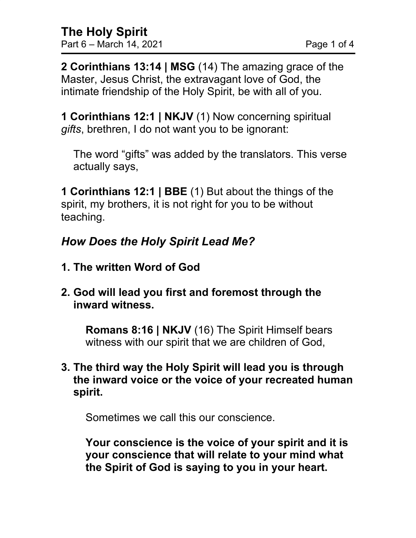**2 Corinthians 13:14 | MSG** (14) The amazing grace of the Master, Jesus Christ, the extravagant love of God, the intimate friendship of the Holy Spirit, be with all of you.

**1 Corinthians 12:1 | NKJV** (1) Now concerning spiritual *gifts*, brethren, I do not want you to be ignorant:

The word "gifts" was added by the translators. This verse actually says,

**1 Corinthians 12:1 | BBE** (1) But about the things of the spirit, my brothers, it is not right for you to be without teaching.

# *How Does the Holy Spirit Lead Me?*

- **1. The written Word of God**
- **2. God will lead you first and foremost through the inward witness.**

**Romans 8:16 | NKJV** (16) The Spirit Himself bears witness with our spirit that we are children of God,

**3. The third way the Holy Spirit will lead you is through the inward voice or the voice of your recreated human spirit.**

Sometimes we call this our conscience.

**Your conscience is the voice of your spirit and it is your conscience that will relate to your mind what the Spirit of God is saying to you in your heart.**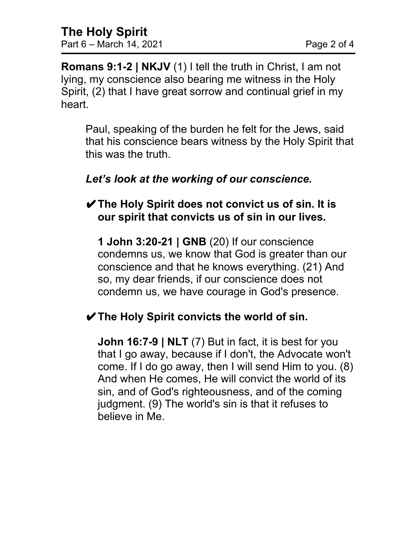**Romans 9:1-2 | NKJV** (1) I tell the truth in Christ, I am not lying, my conscience also bearing me witness in the Holy Spirit, (2) that I have great sorrow and continual grief in my heart.

Paul, speaking of the burden he felt for the Jews, said that his conscience bears witness by the Holy Spirit that this was the truth.

## *Let's look at the working of our conscience.*

## ✔**The Holy Spirit does not convict us of sin. It is our spirit that convicts us of sin in our lives.**

**1 John 3:20-21 | GNB** (20) If our conscience condemns us, we know that God is greater than our conscience and that he knows everything. (21) And so, my dear friends, if our conscience does not condemn us, we have courage in God's presence.

# ✔**The Holy Spirit convicts the world of sin.**

**John 16:7-9 | NLT** (7) But in fact, it is best for you that I go away, because if I don't, the Advocate won't come. If I do go away, then I will send Him to you. (8) And when He comes, He will convict the world of its sin, and of God's righteousness, and of the coming judgment. (9) The world's sin is that it refuses to believe in Me.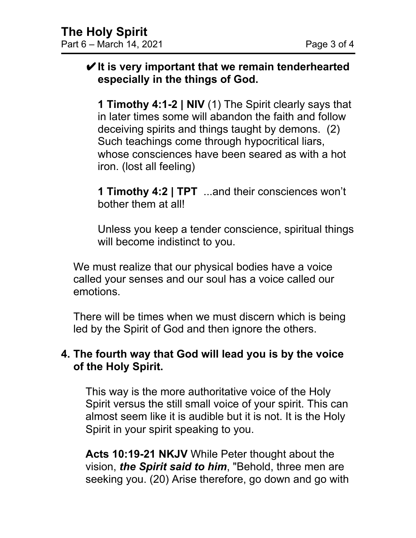#### ✔**It is very important that we remain tenderhearted especially in the things of God.**

**1 Timothy 4:1-2 | NIV** (1) The Spirit clearly says that in later times some will abandon the faith and follow deceiving spirits and things taught by demons. (2) Such teachings come through hypocritical liars, whose consciences have been seared as with a hot iron. (lost all feeling)

**1 Timothy 4:2 | TPT** ...and their consciences won't bother them at all!

Unless you keep a tender conscience, spiritual things will become indistinct to you.

We must realize that our physical bodies have a voice called your senses and our soul has a voice called our emotions.

There will be times when we must discern which is being led by the Spirit of God and then ignore the others.

### **4. The fourth way that God will lead you is by the voice of the Holy Spirit.**

This way is the more authoritative voice of the Holy Spirit versus the still small voice of your spirit. This can almost seem like it is audible but it is not. It is the Holy Spirit in your spirit speaking to you.

**Acts 10:19-21 NKJV** While Peter thought about the vision, *the Spirit said to him*, "Behold, three men are seeking you. (20) Arise therefore, go down and go with